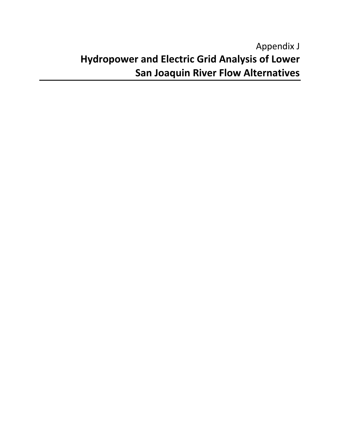# Appendix J **Hydropower and Electric Grid Analysis of Lower San Joaquin River Flow Alternatives**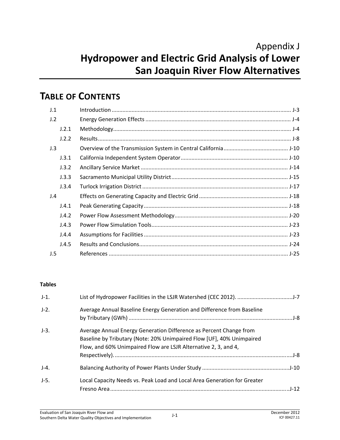# Appendix J **Hydropower and Electric Grid Analysis of Lower San Joaquin River Flow Alternatives**

# **TABLE OF CONTENTS**

| J.1 |       |  |
|-----|-------|--|
| J.2 |       |  |
|     | J.2.1 |  |
|     | J.2.2 |  |
| J.3 |       |  |
|     | J.3.1 |  |
|     | J.3.2 |  |
|     | J.3.3 |  |
|     | J.3.4 |  |
| J.4 |       |  |
|     | J.4.1 |  |
|     | J.4.2 |  |
|     | J.4.3 |  |
|     | J.4.4 |  |
|     | J.4.5 |  |
| J.5 |       |  |

#### **Tables**

| $J-1$ . |                                                                                                                                                                                                                |
|---------|----------------------------------------------------------------------------------------------------------------------------------------------------------------------------------------------------------------|
| $J-2$ . | Average Annual Baseline Energy Generation and Difference from Baseline                                                                                                                                         |
| $J-3.$  | Average Annual Energy Generation Difference as Percent Change from<br>Baseline by Tributary (Note: 20% Unimpaired Flow [UF], 40% Unimpaired<br>Flow, and 60% Unimpaired Flow are LSJR Alternative 2, 3, and 4, |
| $J-4.$  |                                                                                                                                                                                                                |
| $J-5.$  | Local Capacity Needs vs. Peak Load and Local Area Generation for Greater                                                                                                                                       |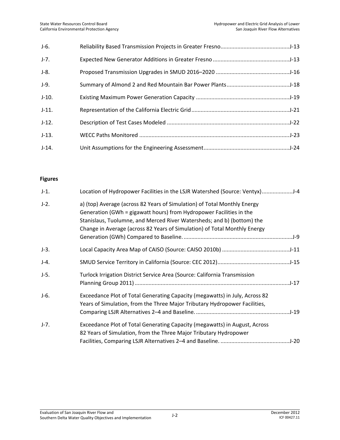| $J-6.$  |  |
|---------|--|
| $J-7.$  |  |
| $J-8.$  |  |
| $J-9.$  |  |
| $J-10.$ |  |
| $J-11.$ |  |
| $J-12.$ |  |
| $J-13.$ |  |
| $J-14.$ |  |

### **Figures**

| $J-1.$  | Location of Hydropower Facilities in the LSJR Watershed (Source: Ventyx)J-4                                                                                                                                                                                                                            |  |
|---------|--------------------------------------------------------------------------------------------------------------------------------------------------------------------------------------------------------------------------------------------------------------------------------------------------------|--|
| $J-2$ . | a) (top) Average (across 82 Years of Simulation) of Total Monthly Energy<br>Generation (GWh = gigawatt hours) from Hydropower Facilities in the<br>Stanislaus, Tuolumne, and Merced River Watersheds; and b) (bottom) the<br>Change in Average (across 82 Years of Simulation) of Total Monthly Energy |  |
| $J-3.$  |                                                                                                                                                                                                                                                                                                        |  |
| $J-4.$  |                                                                                                                                                                                                                                                                                                        |  |
| $J-5.$  | Turlock Irrigation District Service Area (Source: California Transmission                                                                                                                                                                                                                              |  |
| $J-6.$  | Exceedance Plot of Total Generating Capacity (megawatts) in July, Across 82<br>Years of Simulation, from the Three Major Tributary Hydropower Facilities,                                                                                                                                              |  |
| $J-7.$  | Exceedance Plot of Total Generating Capacity (megawatts) in August, Across<br>82 Years of Simulation, from the Three Major Tributary Hydropower                                                                                                                                                        |  |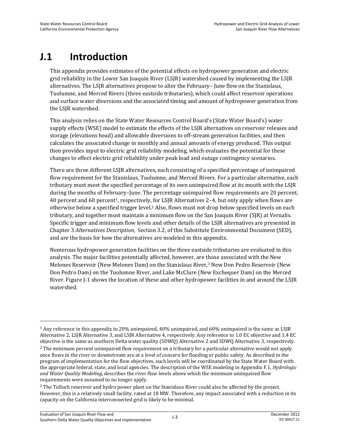# **J.1 Introduction**

This appendix provides estimates of the potential effects on hydropower generation and electric grid reliability in the Lower San Joaquin River (LSJR) watershed caused by implementing the LSJR alternatives. The LSJR alternatives propose to alter the February– June flow on the Stanislaus, Tuolumne, and Merced Rivers (three eastside tributaries), which could affect reservoir operations and surface water diversions and the associated timing and amount of hydropower generation from the LSJR watershed.

This analysis relies on the State Water Resources Control Board's (State Water Board's) water supply effects (WSE) model to estimate the effects of the LSJR alternatives on reservoir releases and storage (elevations head) and allowable diversions to off-stream generation facilities, and then calculates the associated change in monthly and annual amounts of energy produced. This output then provides input to electric grid reliability modeling, which evaluates the potential for these changes to effect electric grid reliability under peak load and outage contingency scenarios.

There are three different LSJR alternatives, each consisting of a specified percentage of unimpaired flow requirement for the Stanislaus, Tuolumne, and Merced Rivers. For a particular alternative, each tributary must meet the specified percentage of its own unimpaired flow at its mouth with the LSJR during the months of February–June. The percentage unimpaired flow requirements are 20 percent, 40 percent and 60 percent1, respectively, for LSJR Alternatives 2–4, but only apply when flows are otherwise below a specified trigger level.2 Also, flows must not drop below specified levels on each tributary, and together must maintain a minimum flow on the San Joaquin River (SJR) at Vernalis. Specific trigger and minimum flow levels and other details of the LSJR alternatives are presented in Chapter 3 *Alternatives Description*, Section 3.2, of this Substitute Environmental Document (SED), and are the basis for how the alternatives are modeled in this appendix.

Numerous hydropower generation facilities on the three eastside tributaries are evaluated in this analysis. The major facilities potentially affected, however, are those associated with the New Melones Reservoir (New Melones Dam) on the Stanislaus River,3 New Don Pedro Reservoir (New Don Pedro Dam) on the Tuolumne River, and Lake McClure (New Exchequer Dam) on the Merced River. Figure J-1 shows the location of these and other hydropower facilities in and around the LSJR watershed.

 $\overline{\phantom{0}}$ 

<sup>1</sup> Any reference in this appendix to 20% unimpaired, 40% unimpaired, and 60% unimpaired is the same as LSJR Alternative 2, LSJR Alternative 3, and LSJR Alternative 4, respectively. Any reference to 1.0 EC objective and 1.4 EC objective is the same as southern Delta water quality (SDWQ) Alternative 2 and SDWQ Alternative 3, respectively. 2 The minimum percent unimpaired flow requirement on a tributary for a particular alternative would not apply once flows in the river or downstream are at a level of concern for flooding or public safety. As described in the program of implementation for the flow objectives, such levels will be coordinated by the State Water Board with the appropriate federal, state, and local agencies. The description of the WSE modeling in Appendix F.1, *Hydrologic and Water Quality Modeling*, describes the river flow levels above which the minimum unimpaired flow requirements were assumed to no longer apply.

<sup>3</sup> The Tulloch reservoir and hydro power plant on the Stanislaus River could also be affected by the project. However, this is a relatively small facility, rated at 18 MW. Therefore, any impact associated with a reduction in its capacity on the California interconnected grid is likely to be minimal.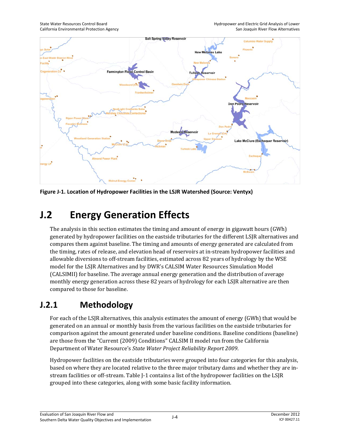

**Figure J-1. Location of Hydropower Facilities in the LSJR Watershed (Source: Ventyx)** 

# **J.2 Energy Generation Effects**

The analysis in this section estimates the timing and amount of energy in gigawatt hours (GWh) generated by hydropower facilities on the eastside tributaries for the different LSJR alternatives and compares them against baseline. The timing and amounts of energy generated are calculated from the timing, rates of release, and elevation head of reservoirs at in-stream hydropower facilities and allowable diversions to off-stream facilities, estimated across 82 years of hydrology by the WSE model for the LSJR Alternatives and by DWR's CALSIM Water Resources Simulation Model (CALSIMII) for baseline. The average annual energy generation and the distribution of average monthly energy generation across these 82 years of hydrology for each LSJR alternative are then compared to those for baseline.

# **J.2.1 Methodology**

For each of the LSJR alternatives, this analysis estimates the amount of energy (GWh) that would be generated on an annual or monthly basis from the various facilities on the eastside tributaries for comparison against the amount generated under baseline conditions. Baseline conditions (baseline) are those from the "Current (2009) Conditions" CALSIM II model run from the California Department of Water Resource's *State Water Project Reliability Report 2009*.

Hydropower facilities on the eastside tributaries were grouped into four categories for this analysis, based on where they are located relative to the three major tributary dams and whether they are instream facilities or off-stream. Table J-1 contains a list of the hydropower facilities on the LSJR grouped into these categories, along with some basic facility information.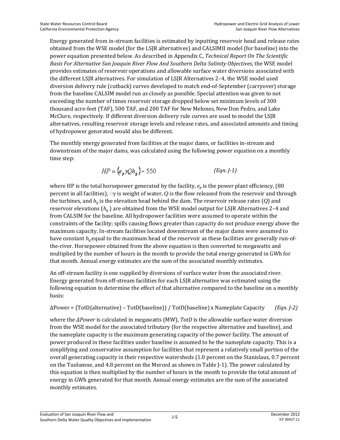Energy generated from in-stream facilities is estimated by inputting reservoir head and release rates obtained from the WSE model (for the LSJR alternatives) and CALSIMII model (for baseline) into the power equation presented below. As described in Appendix C, *Technical Report On The Scientific*  Basis For Alternative San Joaquin River Flow And Southern Delta Salinity Objectives, the WSE model provides estimates of reservoir operations and allowable surface water diversions associated with the different LSJR alternatives. For simulation of LSJR Alternatives 2–4, the WSE model used diversion delivery rule (cutback) curves developed to match end-of-September (carryover) storage from the baseline CALSIM model run as closely as possible. Special attention was given to not exceeding the number of times reservoir storage dropped below set minimum levels of 300 thousand acre-feet (TAF), 500 TAF, and 200 TAF for New Melones, New Don Pedro, and Lake McClure, respectively. If different diversion delivery rule curves are used to model the LSJR alternatives, resulting reservoir storage levels and release rates, and associated amounts and timing of hydropower generated would also be different.

The monthly energy generated from facilities at the major dams, or facilities in-stream and downstream of the major dams, was calculated using the following power equation on a monthly time step:

$$
HP = \left(e_p \gamma Q h_g\right) + 550\tag{Eqn. J-1}
$$

where HP is the total horsepower generated by the facility,  $e_p$  is the power plant efficiency, (80) percent in all facilities),  $\gamma$  is weight of water, *Q* is the flow released from the reservoir and through the turbines, and *hg* is the elevation head behind the dam. The reservoir release rates (*Q*) and reservoir elevations (*hg* ) are obtained from the WSE model output for LSJR Alternatives 2–4 and from CALSIM for the baseline. All hydropower facilities were assumed to operate within the constraints of the facility; spills causing flows greater than capacity do not produce energy above the maximum capacity. In-stream facilities located downstream of the major dams were assumed to have constant  $h_{\nu}$  equal to the maximum head of the reservoir as these facilities are generally run-ofthe-river. Horsepower obtained from the above equation is then converted to megawatts and multiplied by the number of hours in the month to provide the total energy generated in GWh for that month. Annual energy estimates are the sum of the associated monthly estimates.

An off-stream facility is one supplied by diversions of surface water from the associated river. Energy generated from off-stream facilities for each LSJR alternative was estimated using the following equation to determine the effect of that alternative compared to the baseline on a monthly basis:

∆Power = (TotD(alternative) – TotD(baseline)) / TotD(baseline) x Nameplate Capacity *(Eqn. J-2)*

where the *∆Power* is calculated in megawatts (MW), *TotD* is the allowable surface water diversion from the WSE model for the associated tributary (for the respective alternative and baseline), and the nameplate capacity is the maximum generating capacity of the power facility. The amount of power produced in these facilities under baseline is assumed to be the nameplate capacity. This is a simplifying and conservative assumption for facilities that represent a relatively small portion of the overall generating capacity in their respective watersheds (1.0 percent on the Stanislaus, 0.7 percent on the Tuolumne, and 4.8 percent on the Merced as shown in Table J-1). The power calculated by this equation is then multiplied by the number of hours in the month to provide the total amount of energy in GWh generated for that month. Annual energy estimates are the sum of the associated monthly estimates.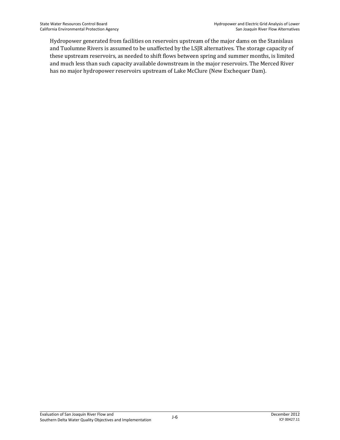Hydropower generated from facilities on reservoirs upstream of the major dams on the Stanislaus and Tuolumne Rivers is assumed to be unaffected by the LSJR alternatives. The storage capacity of these upstream reservoirs, as needed to shift flows between spring and summer months, is limited and much less than such capacity available downstream in the major reservoirs. The Merced River has no major hydropower reservoirs upstream of Lake McClure (New Exchequer Dam).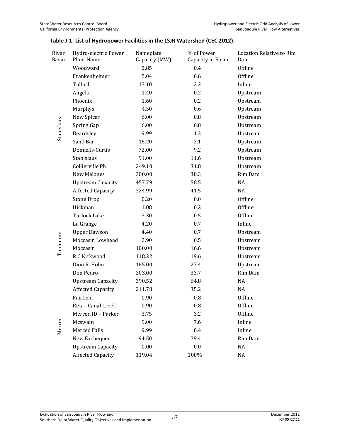| River<br><b>Basin</b> | Hydro-electric Power<br><b>Plant Name</b> | Nameplate<br>Capacity (MW) | % of Power<br>Capacity in Basin | <b>Location Relative to Rim</b><br>Dam |
|-----------------------|-------------------------------------------|----------------------------|---------------------------------|----------------------------------------|
|                       | Woodward                                  | 2.85                       | 0.4                             | Offline                                |
|                       | Frankenheimer                             | 5.04                       | 0.6                             | Offline                                |
|                       | Tulloch                                   | 17.10                      | 2.2                             | Inline                                 |
|                       | Angels                                    | 1.40                       | 0.2                             | Upstream                               |
|                       | Phoenix                                   | 1.60                       | 0.2                             | Upstream                               |
|                       | Murphys                                   | 4.50                       | 0.6                             | Upstream                               |
|                       | New Spicer                                | 6.00                       | $0.8\,$                         | Upstream                               |
| Stanislaus            | Spring Gap                                | 6.00                       | 0.8                             | Upstream                               |
|                       | Beardsley                                 | 9.99                       | 1.3                             | Upstream                               |
|                       | Sand Bar                                  | 16.20                      | 2.1                             | Upstream                               |
|                       | Donnells-Curtis                           | 72.00                      | 9.2                             | Upstream                               |
|                       | Stanislaus                                | 91.00                      | 11.6                            | Upstream                               |
|                       | Collierville Ph                           | 249.10                     | 31.8                            | Upstream                               |
|                       | <b>New Melones</b>                        | 300.00                     | 38.3                            | Rim Dam                                |
|                       | <b>Upstream Capacity</b>                  | 457.79                     | 58.5                            | NA                                     |
|                       | <b>Affected Capacity</b>                  | 324.99                     | 41.5                            | NA                                     |
|                       | <b>Stone Drop</b>                         | 0.20                       | 0.0                             | Offline                                |
|                       | Hickman                                   | 1.08                       | 0.2                             | Offline                                |
|                       | <b>Turlock Lake</b>                       | 3.30                       | 0.5                             | Offline                                |
|                       | La Grange                                 | 4.20                       | 0.7                             | Inline                                 |
|                       | <b>Upper Dawson</b>                       | 4.40                       | 0.7                             | Upstream                               |
| Tuolumne              | Moccasin Lowhead                          | 2.90                       | 0.5                             | Upstream                               |
|                       | Moccasin                                  | 100.00                     | 16.6                            | Upstream                               |
|                       | R C Kirkwood                              | 118.22                     | 19.6                            | Upstream                               |
|                       | Dion R. Holm                              | 165.00                     | 27.4                            | Upstream                               |
|                       | Don Pedro                                 | 203.00                     | 33.7                            | Rim Dam                                |
|                       | <b>Upstream Capacity</b>                  | 390.52                     | 64.8                            | NA                                     |
|                       | <b>Affected Capacity</b>                  | 211.78                     | 35.2                            | <b>NA</b>                              |
|                       | Fairfield                                 | 0.90                       | 0.8                             | Offline                                |
|                       | Reta - Canal Creek                        | 0.90                       | 0.8                             | Offline                                |
|                       | Merced ID - Parker                        | 3.75                       | 3.2                             | Offline                                |
|                       | Mcswain                                   | 9.00                       | 7.6                             | Inline                                 |
| Merced                | <b>Merced Falls</b>                       | 9.99                       | 8.4                             | Inline                                 |
|                       | New Exchequer                             | 94.50                      | 79.4                            | Rim Dam                                |
|                       | <b>Upstream Capacity</b>                  | 0.00                       | $0.0\,$                         | NA                                     |
|                       | <b>Affected Capacity</b>                  | 119.04                     | 100%                            | $\rm NA$                               |

### **Table J-1. List of Hydropower Facilities in the LSJR Watershed (CEC 2012).**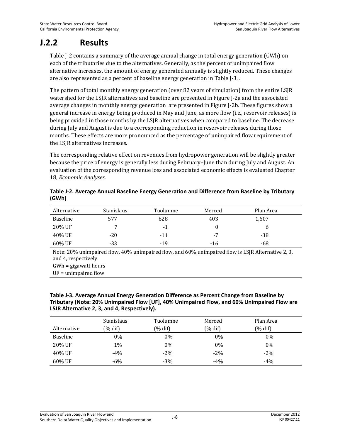## **J.2.2 Results**

Table J-2 contains a summary of the average annual change in total energy generation (GWh) on each of the tributaries due to the alternatives. Generally, as the percent of unimpaired flow alternative increases, the amount of energy generated annually is slightly reduced. These changes are also represented as a percent of baseline energy generation in Table J-3. .

The pattern of total monthly energy generation (over 82 years of simulation) from the entire LSJR watershed for the LSJR alternatives and baseline are presented in Figure J-2a and the associated average changes in monthly energy generation are presented in Figure J-2b. These figures show a general increase in energy being produced in May and June, as more flow (i.e., reservoir releases) is being provided in those months by the LSJR alternatives when compared to baseline. The decrease during July and August is due to a corresponding reduction in reservoir releases during those months. These effects are more pronounced as the percentage of unimpaired flow requirement of the LSJR alternatives increases.

The corresponding relative effect on revenues from hydropower generation will be slightly greater because the price of energy is generally less during February–June than during July and August. An evaluation of the corresponding revenue loss and associated economic effects is evaluated Chapter 18, *Economic Analyses*.

| Table J-2. Average Annual Baseline Energy Generation and Difference from Baseline by Tributary |  |
|------------------------------------------------------------------------------------------------|--|
| (GWh)                                                                                          |  |

| Alternative | <b>Stanislaus</b> | Tuolumne | Merced | Plan Area |
|-------------|-------------------|----------|--------|-----------|
| Baseline    | 577               | 628      | 403    | 1,607     |
| 20% UF      |                   | $-1$     |        |           |
| 40% UF      | $-20$             | $-11$    | -7     | $-38$     |
| 60% UF      | $-33$             | $-19$    | $-16$  | -68       |

Note: 20% unimpaired flow, 40% unimpaired flow, and 60% unimpaired flow is LSJR Alternative 2, 3, and 4, respectively.

#### **Table J-3. Average Annual Energy Generation Difference as Percent Change from Baseline by Tributary (Note: 20% Unimpaired Flow [UF], 40% Unimpaired Flow, and 60% Unimpaired Flow are LSJR Alternative 2, 3, and 4, Respectively).**

|                 | Stanislaus | Tuolumne | Merced  | Plan Area  |
|-----------------|------------|----------|---------|------------|
| Alternative     | (% dif)    | (% dif)  | (% dif) | $(\%$ dif) |
| <b>Baseline</b> | 0%         | $0\%$    | $0\%$   | $0\%$      |
| 20% UF          | 1%         | 0%       | $0\%$   | $0\%$      |
| 40% UF          | $-4%$      | $-2\%$   | $-2\%$  | $-2\%$     |
| 60% UF          | $-6%$      | $-3%$    | $-4%$   | $-4%$      |

GWh = gigawatt hours

UF = unimpaired flow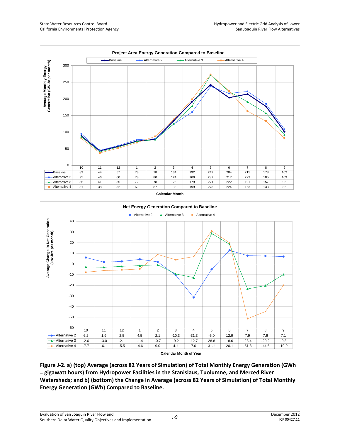

**Figure J-2. a) (top) Average (across 82 Years of Simulation) of Total Monthly Energy Generation (GWh = gigawatt hours) from Hydropower Facilities in the Stanislaus, Tuolumne, and Merced River Watersheds; and b) (bottom) the Change in Average (across 82 Years of Simulation) of Total Monthly Energy Generation (GWh) Compared to Baseline.**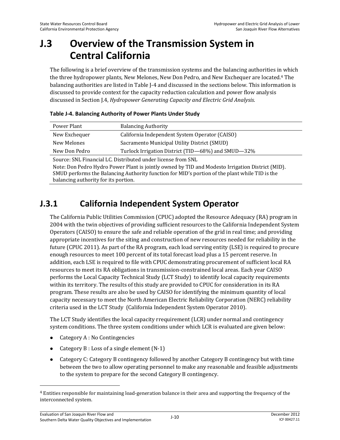# **J.3 Overview of the Transmission System in Central California**

The following is a brief overview of the transmission systems and the balancing authorities in which the three hydropower plants, New Melones, New Don Pedro, and New Exchequer are located.4 The balancing authorities are listed in Table J-4 and discussed in the sections below. This information is discussed to provide context for the capacity reduction calculation and power flow analysis discussed in Section J.4, *Hydropower Generating Capacity and Electric Grid Analysis*.

| Power Plant                                                         | <b>Balancing Authority</b>                     |  |  |
|---------------------------------------------------------------------|------------------------------------------------|--|--|
| New Exchequer                                                       | California Independent System Operator (CAISO) |  |  |
| New Melones                                                         | Sacramento Municipal Utility District (SMUD)   |  |  |
| Turlock Irrigation District (TID-68%) and SMUD-32%<br>New Don Pedro |                                                |  |  |
| Source: SNL Financial LC. Distributed under license from SNL        |                                                |  |  |

Note: Don Pedro Hydro Power Plant is jointly owned by TID and Modesto Irrigation District (MID). SMUD performs the Balancing Authority function for MID's portion of the plant while TID is the balancing authority for its portion.

# **J.3.1 California Independent System Operator**

The California Public Utilities Commission (CPUC) adopted the Resource Adequacy (RA) program in 2004 with the twin objectives of providing sufficient resources to the California Independent System Operators (CAISO) to ensure the safe and reliable operation of the grid in real time; and providing appropriate incentives for the siting and construction of new resources needed for reliability in the future (CPUC 2011). As part of the RA program, each load serving entity (LSE) is required to procure enough resources to meet 100 percent of its total forecast load plus a 15 percent reserve. In addition, each LSE is required to file with CPUC demonstrating procurement of sufficient local RA resources to meet its RA obligations in transmission-constrained local areas. Each year CAISO performs the Local Capacity Technical Study (LCT Study) to identify local capacity requirements within its territory. The results of this study are provided to CPUC for consideration in its RA program. These results are also be used by CAISO for identifying the minimum quantity of local capacity necessary to meet the North American Electric Reliability Corporation (NERC) reliability criteria used in the LCT Study (California Independent System Operator 2010).

The LCT Study identifies the local capacity rrequirement (LCR) under normal and contingency system conditions. The three system conditions under which LCR is evaluated are given below:

 $\bullet$  Category A : No Contingencies

- Category  $B: Loss$  of a single element  $(N-1)$
- Category C: Category B contingency followed by another Category B contingency but with time between the two to allow operating personnel to make any reasonable and feasible adjustments to the system to prepare for the second Category B contingency.

<sup>4</sup> Entities responsible for maintaining load-generation balance in their area and supporting the frequency of the interconnected system.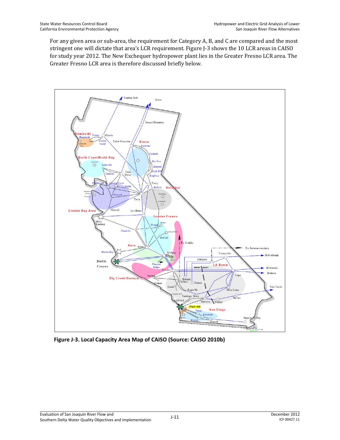For any given area or sub-area, the requirement for Category A, B, and C are compared and the most stringent one will dictate that area's LCR requirement. Figure J-3 shows the 10 LCR areas in CAISO for study year 2012. The New Exchequer hydropower plant lies in the Greater Fresno LCR area. The Greater Fresno LCR area is therefore discussed briefly below.



**Figure J-3. Local Capacity Area Map of CAISO (Source: CAISO 2010b)**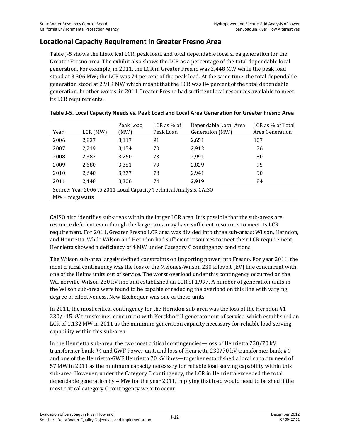### **Locational Capacity Requirement in Greater Fresno Area**

Table J-5 shows the historical LCR, peak load, and total dependable local area generation for the Greater Fresno area. The exhibit also shows the LCR as a percentage of the total dependable local generation. For example, in 2011, the LCR in Greater Fresno was 2,448 MW while the peak load stood at 3,306 MW; the LCR was 74 percent of the peak load. At the same time, the total dependable generation stood at 2,919 MW which meant that the LCR was 84 percent of the total dependable generation. In other words, in 2011 Greater Fresno had sufficient local resources available to meet its LCR requirements.

| Year                                                               | $LCR$ (MW) | Peak Load<br>(MW) | LCR as $%$ of<br>Peak Load | Dependable Local Area<br>Generation (MW) | LCR as % of Total<br>Area Generation |
|--------------------------------------------------------------------|------------|-------------------|----------------------------|------------------------------------------|--------------------------------------|
| 2006                                                               | 2,837      | 3,117             | 91                         | 2,651                                    | 107                                  |
| 2007                                                               | 2,219      | 3,154             | 70                         | 2,912                                    | 76                                   |
| 2008                                                               | 2,382      | 3,260             | 73                         | 2,991                                    | 80                                   |
| 2009                                                               | 2,680      | 3,381             | 79                         | 2,829                                    | 95                                   |
| 2010                                                               | 2,640      | 3,377             | 78                         | 2,941                                    | 90                                   |
| 2011                                                               | 2,448      | 3,306             | 74                         | 2,919                                    | 84                                   |
| Source: Year 2006 to 2011 Local Capacity Technical Analysis, CAISO |            |                   |                            |                                          |                                      |

|  |  | Table J-5. Local Capacity Needs vs. Peak Load and Local Area Generation for Greater Fresno Area |
|--|--|-------------------------------------------------------------------------------------------------|
|--|--|-------------------------------------------------------------------------------------------------|

MW = megawatts

CAISO also identifies sub-areas within the larger LCR area. It is possible that the sub-areas are resource deficient even though the larger area may have sufficient resources to meet its LCR requirement. For 2011, Greater Fresno LCR area was divided into three sub-areas: Wilson, Herndon, and Henrietta. While Wilson and Herndon had sufficient resources to meet their LCR requirement, Henrietta showed a deficiency of 4 MW under Category C contingency conditions.

The Wilson sub-area largely defined constraints on importing power into Fresno. For year 2011, the most critical contingency was the loss of the Melones-Wilson 230 kilovolt (kV) line concurrent with one of the Helms units out of service. The worst overload under this contingency occurred on the Warnerville-Wilson 230 kV line and established an LCR of 1,997. A number of generation units in the Wilson sub-area were found to be capable of reducing the overload on this line with varying degree of effectiveness. New Exchequer was one of these units.

In 2011, the most critical contingency for the Herndon sub-area was the loss of the Herndon #1 230/115 kV transformer concurrent with Kerckhoff II generator out of service, which established an LCR of 1,132 MW in 2011 as the minimum generation capacity necessary for reliable load serving capability within this sub-area.

In the Henrietta sub-area, the two most critical contingencies—loss of Henrietta 230/70 kV transformer bank #4 and GWF Power unit, and loss of Henrietta 230/70 kV transformer bank #4 and one of the Henrietta-GWF Henrietta 70 kV lines—together established a local capacity need of 57 MW in 2011 as the minimum capacity necessary for reliable load serving capability within this sub-area. However, under the Category C contingency, the LCR in Henrietta exceeded the total dependable generation by 4 MW for the year 2011, implying that load would need to be shed if the most critical category C contingency were to occur.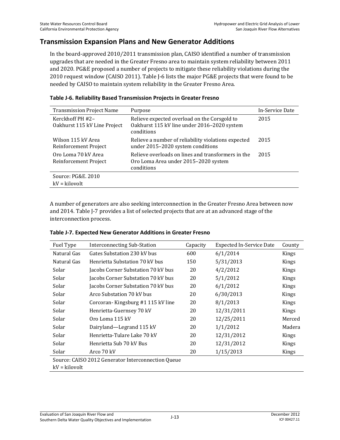### **Transmission Expansion Plans and New Generator Additions**

In the board-approved 2010/2011 transmission plan, CAISO identified a number of transmission upgrades that are needed in the Greater Fresno area to maintain system reliability between 2011 and 2020. PG&E proposed a number of projects to mitigate these reliability violations during the 2010 request window (CAISO 2011). Table J-6 lists the major PG&E projects that were found to be needed by CAISO to maintain system reliability in the Greater Fresno Area.

| <b>Transmission Project Name</b>                 | Purpose                                                                                                   | In-Service Date |
|--------------------------------------------------|-----------------------------------------------------------------------------------------------------------|-----------------|
| Kerckhoff PH #2-<br>Oakhurst 115 kV Line Project | Relieve expected overload on the Corsgold to<br>Oakhurst 115 kV line under 2016-2020 system<br>conditions | 2015            |
| Wilson 115 kV Area<br>Reinforcement Project      | Relieve a number of reliability violations expected<br>under 2015-2020 system conditions                  | 2015            |
| Oro Loma 70 kV Area<br>Reinforcement Project     | Relieve overloads on lines and transformers in the<br>Oro Loma Area under 2015–2020 system<br>conditions  | 2015            |
| Source: PG&E, 2010<br>$kV = kilovolt$            |                                                                                                           |                 |

#### **Table J-6. Reliability Based Transmission Projects in Greater Fresno**

A number of generators are also seeking interconnection in the Greater Fresno Area between now and 2014. Table J-7 provides a list of selected projects that are at an advanced stage of the interconnection process.

| Fuel Type                                          | <b>Interconnecting Sub-Station</b> | Capacity | <b>Expected In-Service Date</b> | County |
|----------------------------------------------------|------------------------------------|----------|---------------------------------|--------|
| Natural Gas                                        | Gates Substation 230 kV bus        | 600      | 6/1/2014                        | Kings  |
| Natural Gas                                        | Henrietta Substation 70 kV bus     | 150      | 5/31/2013                       | Kings  |
| Solar                                              | Jacobs Corner Substation 70 kV bus | 20       | 4/2/2012                        | Kings  |
| Solar                                              | Jacobs Corner Substation 70 kV bus | 20       | 5/1/2012                        | Kings  |
| Solar                                              | Jacobs Corner Substation 70 kV bus | 20       | 6/1/2012                        | Kings  |
| Solar                                              | Arco Substation 70 kV bus          | 20       | 6/30/2013                       | Kings  |
| Solar                                              | Corcoran-Kingsburg #1 115 kV line  | 20       | 8/1/2013                        | Kings  |
| Solar                                              | Henrietta-Guernsey 70 kV           | 20       | 12/31/2011                      | Kings  |
| Solar                                              | Oro Loma 115 kV                    | 20       | 12/25/2011                      | Merced |
| Solar                                              | Dairyland—Legrand 115 kV           | 20       | 1/1/2012                        | Madera |
| Solar                                              | Henrietta-Tulare Lake 70 kV        | 20       | 12/31/2012                      | Kings  |
| Solar                                              | Henrietta Sub 70 kV Bus            | 20       | 12/31/2012                      | Kings  |
| Solar                                              | Arco 70 kV                         | 20       | 1/15/2013                       | Kings  |
| Source: CAISO 2012 Generator Interconnection Queue |                                    |          |                                 |        |
| kV = kilovolt                                      |                                    |          |                                 |        |

#### **Table J-7. Expected New Generator Additions in Greater Fresno**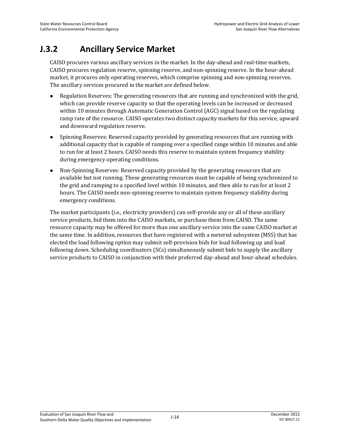## **J.3.2 Ancillary Service Market**

CAISO procures various ancillary services in the market. In the day-ahead and real-time markets, CAISO procures regulation reserve, spinning reserve, and non-spinning reserve. In the hour-ahead market, it procures only operating reserves, which comprise spinning and non-spinning reserves. The ancillary services procured in the market are defined below.

- Regulation Reserves: The generating resources that are running and synchronized with the grid, which can provide reserve capacity so that the operating levels can be increased or decreased within 10 minutes through Automatic Generation Control (AGC) signal based on the regulating ramp rate of the resource. CAISO operates two distinct capacity markets for this service, upward and downward regulation reserve.
- Spinning Reserves: Reserved capacity provided by generating resources that are running with additional capacity that is capable of ramping over a specified range within 10 minutes and able to run for at least 2 hours. CAISO needs this reserve to maintain system frequency stability during emergency operating conditions.
- Non-Spinning Reserves: Reserved capacity provided by the generating resources that are available but not running. These generating resources must be capable of being synchronized to the grid and ramping to a specified level within 10 minutes, and then able to run for at least 2 hours. The CAISO needs non-spinning reserve to maintain system frequency stability during emergency conditions.

The market participants (i.e., electricity providers) can self-provide any or all of these ancillary service products, bid them into the CAISO markets, or purchase them from CAISO. The same resource capacity may be offered for more than one ancillary service into the same CAISO market at the same time. In addition, resources that have registered with a metered subsystem (MSS) that has elected the load following option may submit self-provision bids for load following up and load following down. Scheduling coordinators (SCs) simultaneously submit bids to supply the ancillary service products to CAISO in conjunction with their preferred day-ahead and hour-ahead schedules.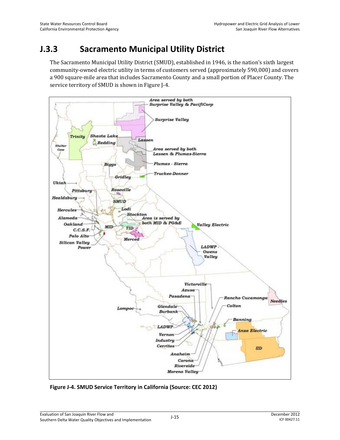## **J.3.3 Sacramento Municipal Utility District**

The Sacramento Municipal Utility District (SMUD), established in 1946, is the nation's sixth largest community-owned electric utility in terms of customers served (approximately 590,000) and covers a 900 square-mile area that includes Sacramento County and a small portion of Placer County. The service territory of SMUD is shown in Figure J-4.



**Figure J-4. SMUD Service Territory in California (Source: CEC 2012)**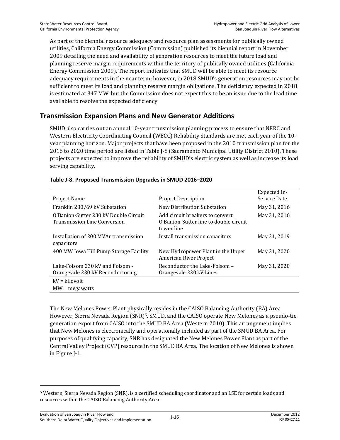As part of the biennial resource adequacy and resource plan assessments for publically owned utilities, California Energy Commission (Commission) published its biennial report in November 2009 detailing the need and availability of generation resources to meet the future load and planning reserve margin requirements within the territory of publically owned utilities (California Energy Commission 2009). The report indicates that SMUD will be able to meet its resource adequacy requirements in the near term; however, in 2018 SMUD's generation resources may not be sufficient to meet its load and planning reserve margin obligations. The deficiency expected in 2018 is estimated at 347 MW, but the Commission does not expect this to be an issue due to the lead time available to resolve the expected deficiency.

### **Transmission Expansion Plans and New Generator Additions**

SMUD also carries out an annual 10-year transmission planning process to ensure that NERC and Western Electricity Coordinating Council (WECC) Reliability Standards are met each year of the 10 year planning horizon. Major projects that have been proposed in the 2010 transmission plan for the 2016 to 2020 time period are listed in Table J-8 (Sacramento Municipal Utility District 2010). These projects are expected to improve the reliability of SMUD's electric system as well as increase its load serving capability.

| Project Name                                                                 | <b>Project Description</b>                                                              | Expected In-<br>Service Date |
|------------------------------------------------------------------------------|-----------------------------------------------------------------------------------------|------------------------------|
| Franklin 230/69 kV Substation                                                | New Distribution Substation                                                             | May 31, 2016                 |
| O'Banion-Sutter 230 kV Double Circuit<br><b>Transmission Line Conversion</b> | Add circuit breakers to convert<br>O'Banion-Sutter line to double circuit<br>tower line | May 31, 2016                 |
| Installation of 200 MVAr transmission<br>capacitors                          | Install transmission capacitors                                                         | May 31, 2019                 |
| 400 MW Iowa Hill Pump Storage Facility                                       | New Hydropower Plant in the Upper<br>American River Project                             | May 31, 2020                 |
| Lake-Folsom 230 kV and Folsom -<br>Orangevale 230 kV Reconductoring          | Reconductor the Lake-Folsom –<br>Orangevale 230 kV Lines                                | May 31, 2020                 |
| $kV = kilovolt$                                                              |                                                                                         |                              |
| $MW = megawatts$                                                             |                                                                                         |                              |

#### **Table J-8. Proposed Transmission Upgrades in SMUD 2016–2020**

The New Melones Power Plant physically resides in the CAISO Balancing Authority (BA) Area. However, Sierra Nevada Region (SNR)5, SMUD, and the CAISO operate New Melones as a pseudo-tie generation export from CAISO into the SMUD BA Area (Western 2010). This arrangement implies that New Melones is electronically and operationally included as part of the SMUD BA Area. For purposes of qualifying capacity, SNR has designated the New Melones Power Plant as part of the Central Valley Project (CVP) resource in the SMUD BA Area. The location of New Melones is shown in Figure J-1.

<sup>5</sup> Western, Sierra Nevada Region (SNR), is a certified scheduling coordinator and an LSE for certain loads and resources within the CAISO Balancing Authority Area.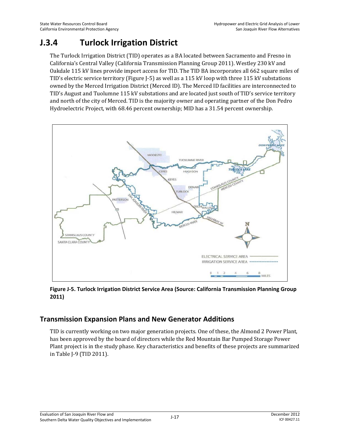## **J.3.4 Turlock Irrigation District**

The Turlock Irrigation District (TID) operates as a BA located between Sacramento and Fresno in California's Central Valley (California Transmission Planning Group 2011). Westley 230 kV and Oakdale 115 kV lines provide import access for TID. The TID BA incorporates all 662 square miles of TID's electric service territory (Figure J-5) as well as a 115 kV loop with three 115 kV substations owned by the Merced Irrigation District (Merced ID). The Merced ID facilities are interconnected to TID's August and Tuolumne 115 kV substations and are located just south of TID's service territory and north of the city of Merced. TID is the majority owner and operating partner of the Don Pedro Hydroelectric Project, with 68.46 percent ownership; MID has a 31.54 percent ownership.



**Figure J-5. Turlock Irrigation District Service Area (Source: California Transmission Planning Group 2011)** 

### **Transmission Expansion Plans and New Generator Additions**

TID is currently working on two major generation projects. One of these, the Almond 2 Power Plant, has been approved by the board of directors while the Red Mountain Bar Pumped Storage Power Plant project is in the study phase. Key characteristics and benefits of these projects are summarized in Table J-9 (TID 2011).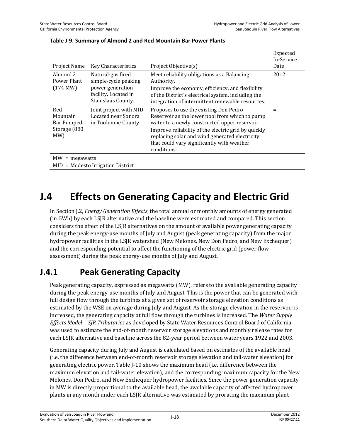| Project Name                                                | <b>Key Characteristics</b>                                                                                  | Project Objective(s)                                                                                                                                                                                                                                                                                            | Expected<br>In-Service<br>Date |
|-------------------------------------------------------------|-------------------------------------------------------------------------------------------------------------|-----------------------------------------------------------------------------------------------------------------------------------------------------------------------------------------------------------------------------------------------------------------------------------------------------------------|--------------------------------|
| Almond 2<br>Power Plant<br>(174 MW)                         | Natural-gas fired<br>simple-cycle peaking<br>power generation<br>facility. Located in<br>Stanislaus County. | Meet reliability obligations as a Balancing<br>Authority.<br>Improve the economy, efficiency, and flexibility<br>of the District's electrical system, including the<br>integration of intermittent renewable resources.                                                                                         | 2012                           |
| Red<br>Mountain<br><b>Bar Pumped</b><br>Storage (880<br>MW) | Joint project with MID.<br>Located near Sonora<br>in Tuolumne County.                                       | Proposes to use the existing Don Pedro<br>Reservoir as the lower pool from which to pump<br>water to a newly constructed upper reservoir.<br>Improve reliability of the electric grid by quickly<br>replacing solar and wind generated electricity<br>that could vary significantly with weather<br>conditions. |                                |
| $MW = megawatts$                                            |                                                                                                             |                                                                                                                                                                                                                                                                                                                 |                                |
|                                                             | $MID = Modesto Irrigation District$                                                                         |                                                                                                                                                                                                                                                                                                                 |                                |

#### **Table J-9. Summary of Almond 2 and Red Mountain Bar Power Plants**

# **J.4 Effects on Generating Capacity and Electric Grid**

In Section J.2, *Energy Generation Effects*, the total annual or monthly amounts of energy generated (in GWh) by each LSJR alternative and the baseline were estimated and compared. This section considers the effect of the LSJR alternatives on the amount of available power generating capacity during the peak energy-use months of July and August (peak generating capacity) from the major hydropower facilities in the LSJR watershed (New Melones, New Don Pedro, and New Exchequer) and the corresponding potential to affect the functioning of the electric grid (power flow assessment) during the peak energy-use months of July and August.

## **J.4.1 Peak Generating Capacity**

Peak generating capacity, expressed as megawatts (MW), refers to the available generating capacity during the peak energy-use months of July and August. This is the power that can be generated with full design flow through the turbines at a given set of reservoir storage elevation conditions as estimated by the WSE on average during July and August. As the storage elevation in the reservoir is increased, the generating capacity at full flow through the turbines is increased. The *Water Supply Effects Model—SJR Tributaries* as developed by State Water Resources Control Board of California was used to estimate the end-of-month reservoir storage elevations and monthly release rates for each LSJR alternative and baseline across the 82-year period between water years 1922 and 2003.

Generating capacity during July and August is calculated based on estimates of the available head (i.e. the difference between end-of-month reservoir storage elevation and tail-water elevation) for generating electric power. Table J-10 shows the maximum head (i.e. difference between the maximum elevation and tail-water elevation), and the corresponding maximum capacity for the New Melones, Don Pedro, and New Exchequer hydropower facilities. Since the power generation capacity in MW is directly proportional to the available head, the available capacity of affected hydropower plants in any month under each LSJR alternative was estimated by prorating the maximum plant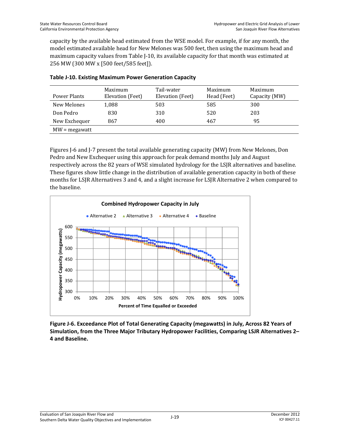capacity by the available head estimated from the WSE model. For example, if for any month, the model estimated available head for New Melones was 500 feet, then using the maximum head and maximum capacity values from Table J-10, its available capacity for that month was estimated at 256 MW (300 MW x [500 feet/585 feet]).

| Power Plants    | Maximum<br>Elevation (Feet) | Tail-water<br>Elevation (Feet) | Maximum<br>Head (Feet) | Maximum<br>Capacity (MW) |
|-----------------|-----------------------------|--------------------------------|------------------------|--------------------------|
| New Melones     | 1,088                       | 503                            | 585                    | 300                      |
| Don Pedro       | 830                         | 310                            | 520                    | 203                      |
| New Exchequer   | 867                         | 400                            | 467                    | 95                       |
| $MW = megawatt$ |                             |                                |                        |                          |

|  |  |  |  | Table J-10. Existing Maximum Power Generation Capacity |  |
|--|--|--|--|--------------------------------------------------------|--|
|--|--|--|--|--------------------------------------------------------|--|

Figures J-6 and J-7 present the total available generating capacity (MW) from New Melones, Don Pedro and New Exchequer using this approach for peak demand months July and August respectively across the 82 years of WSE simulated hydrology for the LSJR alternatives and baseline. These figures show little change in the distribution of available generation capacity in both of these months for LSJR Alternatives 3 and 4, and a slight increase for LSJR Alternative 2 when compared to the baseline.



**Figure J-6. Exceedance Plot of Total Generating Capacity (megawatts) in July, Across 82 Years of Simulation, from the Three Major Tributary Hydropower Facilities, Comparing LSJR Alternatives 2– 4 and Baseline.**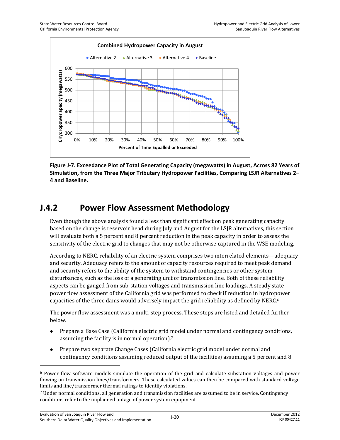

**Figure J-7. Exceedance Plot of Total Generating Capacity (megawatts) in August, Across 82 Years of Simulation, from the Three Major Tributary Hydropower Facilities, Comparing LSJR Alternatives 2– 4 and Baseline.** 

## **J.4.2 Power Flow Assessment Methodology**

Even though the above analysis found a less than significant effect on peak generating capacity based on the change is reservoir head during July and August for the LSJR alternatives, this section will evaluate both a 5 percent and 8 percent reduction in the peak capacity in order to assess the sensitivity of the electric grid to changes that may not be otherwise captured in the WSE modeling.

According to NERC, reliability of an electric system comprises two interrelated elements—adequacy and security. Adequacy refers to the amount of capacity resources required to meet peak demand and security refers to the ability of the system to withstand contingencies or other system disturbances, such as the loss of a generating unit or transmission line. Both of these reliability aspects can be gauged from sub-station voltages and transmission line loadings. A steady state power flow assessment of the California grid was performed to check if reduction in hydropower capacities of the three dams would adversely impact the grid reliability as defined by  $NERC<sup>6</sup>$ 

The power flow assessment was a multi-step process. These steps are listed and detailed further below.

- Prepare a Base Case (California electric grid model under normal and contingency conditions, assuming the facility is in normal operation).7
- Prepare two separate Change Cases (California electric grid model under normal and contingency conditions assuming reduced output of the facilities) assuming a 5 percent and 8

<sup>6</sup> Power flow software models simulate the operation of the grid and calculate substation voltages and power flowing on transmission lines/transformers. These calculated values can then be compared with standard voltage limits and line/transformer thermal ratings to identify violations.

<sup>7</sup> Under normal conditions, all generation and transmission facilities are assumed to be in service. Contingency conditions refer to the unplanned outage of power system equipment.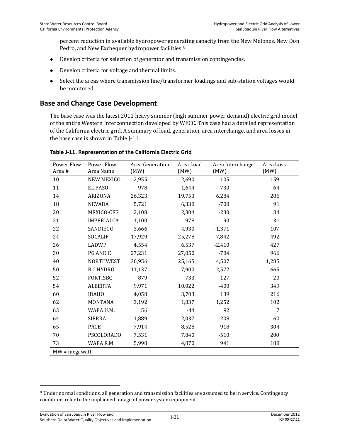percent reduction in available hydropower generating capacity from the New Melones, New Don Pedro, and New Exchequer hydropower facilities.<sup>8</sup>

- Develop criteria for selection of generator and transmission contingencies.
- Develop criteria for voltage and thermal limits.
- Select the areas where transmission line/transformer loadings and sub-station voltages would be monitored.

### **Base and Change Case Development**

The base case was the latest 2011 heavy summer (high summer power demand) electric grid model of the entire Western Interconnection developed by WECC. This case had a detailed representation of the California electric grid. A summary of load, generation, area interchange, and area losses in the base case is shown in Table J-11.

| Power Flow<br>Area # | Power Flow<br>Area Name | Area Generation<br>(MW) | Area Load<br>(MW) | Area Interchange<br>(MW) | Area Loss<br>(MW) |
|----------------------|-------------------------|-------------------------|-------------------|--------------------------|-------------------|
| 10                   | <b>NEW MEXICO</b>       | 2,955                   | 2,690             | 105                      | 159               |
| 11                   | <b>EL PASO</b>          | 978                     | 1,644             | $-730$                   | 64                |
| 14                   | <b>ARIZONA</b>          | 26,323                  | 19,753            | 6,284                    | 286               |
| 18                   | <b>NEVADA</b>           | 5,721                   | 6,338             | $-708$                   | 91                |
| 20                   | MEXICO-CFE              | 2,108                   | 2,304             | $-230$                   | 34                |
| 21                   | <b>IMPERIALCA</b>       | 1,100                   | 978               | 90                       | 31                |
| 22                   | SANDIEGO                | 3,666                   | 4,930             | $-1,371$                 | 107               |
| 24                   | <b>SOCALIF</b>          | 17,929                  | 25,278            | $-7,842$                 | 492               |
| 26                   | LADWP                   | 4,554                   | 6,537             | $-2,410$                 | 427               |
| 30                   | <b>PG AND E</b>         | 27,231                  | 27,050            | $-784$                   | 966               |
| 40                   | <b>NORTHWEST</b>        | 30,956                  | 25,165            | 4,507                    | 1,285             |
| 50                   | <b>B.C.HYDRO</b>        | 11,137                  | 7,900             | 2,572                    | 665               |
| 52                   | <b>FORTISBC</b>         | 879                     | 733               | 127                      | 20                |
| 54                   | <b>ALBERTA</b>          | 9,971                   | 10,022            | $-400$                   | 349               |
| 60                   | <b>IDAHO</b>            | 4,058                   | 3,703             | 139                      | 216               |
| 62                   | <b>MONTANA</b>          | 3,192                   | 1,837             | 1,252                    | 102               |
| 63                   | WAPA U.M.               | 56                      | $-44$             | 92                       | 7                 |
| 64                   | <b>SIERRA</b>           | 1,889                   | 2,037             | $-208$                   | 60                |
| 65                   | <b>PACE</b>             | 7,914                   | 8,528             | $-918$                   | 304               |
| 70                   | <b>PSCOLORADO</b>       | 7,531                   | 7,840             | $-510$                   | 200               |
| 73                   | WAPA R.M.               | 5,998                   | 4,870             | 941                      | 188               |
| $MW = megawatt$      |                         |                         |                   |                          |                   |

#### **Table J-11. Representation of the California Electric Grid**

<sup>8</sup> Under normal conditions, all generation and transmission facilities are assumed to be in service. Contingency conditions refer to the unplanned outage of power system equipment.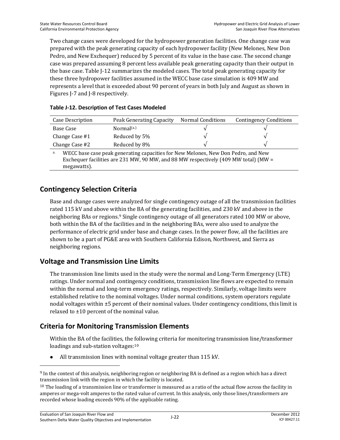Two change cases were developed for the hydropower generation facilities. One change case was prepared with the peak generating capacity of each hydropower facility (New Melones, New Don Pedro, and New Exchequer) reduced by 5 percent of its value in the base case. The second change case was prepared assuming 8 percent less available peak generating capacity than their output in the base case. Table J-12 summarizes the modeled cases. The total peak generating capacity for these three hydropower facilities assumed in the WECC base case simulation is 409 MW and represents a level that is exceeded about 90 percent of years in both July and August as shown in Figures J-7 and J-8 respectively.

| Case Description                                                                        | Peak Generating Capacity | Normal Conditions | <b>Contingency Conditions</b> |
|-----------------------------------------------------------------------------------------|--------------------------|-------------------|-------------------------------|
| Base Case                                                                               | Normal <sub>(a.)</sub>   |                   |                               |
| Change Case #1                                                                          | Reduced by 5%            |                   |                               |
| Change Case #2                                                                          | Reduced by 8%            |                   |                               |
| WECC base case peak generating capacities for New Melones, New Don Pedro, and New<br>a. |                          |                   |                               |

#### **Table J-12. Description of Test Cases Modeled**

a. WECC base case peak generating capacities for New Melones, New Don Pedro, and New Exchequer facilities are 231 MW, 90 MW, and 88 MW respectively (409 MW total) (MW = megawatts).

### **Contingency Selection Criteria**

Base and change cases were analyzed for single contingency outage of all the transmission facilities rated 115 kV and above within the BA of the generating facilities, and 230 kV and above in the neighboring BAs or regions.<sup>9</sup> Single contingency outage of all generators rated 100 MW or above, both within the BA of the facilities and in the neighboring BAs, were also used to analyze the performance of electric grid under base and change cases. In the power flow, all the facilities are shown to be a part of PG&E area with Southern California Edison, Northwest, and Sierra as neighboring regions.

### **Voltage and Transmission Line Limits**

The transmission line limits used in the study were the normal and Long-Term Emergency (LTE) ratings. Under normal and contingency conditions, transmission line flows are expected to remain within the normal and long-term emergency ratings, respectively. Similarly, voltage limits were established relative to the nominal voltages. Under normal conditions, system operators regulate nodal voltages within ±5 percent of their nominal values. Under contingency conditions, this limit is relaxed to ±10 percent of the nominal value.

### **Criteria for Monitoring Transmission Elements**

Within the BA of the facilities, the following criteria for monitoring transmission line/transformer loadings and sub-station voltages:<sup>10</sup>

All transmission lines with nominal voltage greater than 115 kV.

<sup>9</sup> In the context of this analysis, neighboring region or neighboring BA is defined as a region which has a direct transmission link with the region in which the facility is located.

 $10$  The loading of a transmission line or transformer is measured as a ratio of the actual flow across the facility in amperes or mega-volt amperes to the rated value of current. In this analysis, only those lines/transformers are recorded whose loading exceeds 90% of the applicable rating.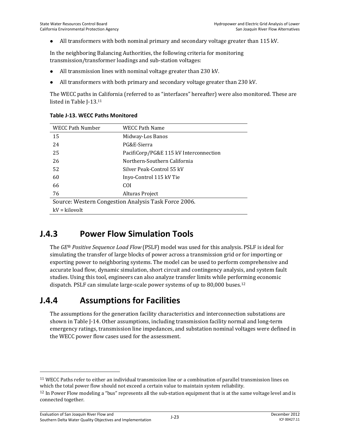All transformers with both nominal primary and secondary voltage greater than 115 kV.

In the neighboring Balancing Authorities, the following criteria for monitoring transmission/transformer loadings and sub-station voltages:

- All transmission lines with nominal voltage greater than 230 kV.
- All transformers with both primary and secondary voltage greater than 230 kV.

The WECC paths in California (referred to as "interfaces" hereafter) were also monitored. These are listed in Table J-13.11

| <b>WECC Path Number</b> | <b>WECC Path Name</b>                                |
|-------------------------|------------------------------------------------------|
| 15                      | Midway-Los Banos                                     |
| 24                      | PG&E-Sierra                                          |
| 25                      | PacifiCorp/PG&E 115 kV Interconnection               |
| 26                      | Northern-Southern California                         |
| 52                      | Silver Peak-Control 55 kV                            |
| 60                      | Inyo-Control 115 kV Tie                              |
| 66                      | COL                                                  |
| 76                      | Alturas Project                                      |
|                         | Source: Western Congestion Analysis Task Force 2006. |
| $kV = kilovolt$         |                                                      |

#### **Table J-13. WECC Paths Monitored**

### **J.4.3 Power Flow Simulation Tools**

The *GE® Positive Sequence Load Flow* (PSLF) model was used for this analysis. PSLF is ideal for simulating the transfer of large blocks of power across a transmission grid or for importing or exporting power to neighboring systems. The model can be used to perform comprehensive and accurate load flow, dynamic simulation, short circuit and contingency analysis, and system fault studies. Using this tool, engineers can also analyze transfer limits while performing economic dispatch. PSLF can simulate large-scale power systems of up to 80,000 buses.12

## **J.4.4 Assumptions for Facilities**

The assumptions for the generation facility characteristics and interconnection substations are shown in Table J-14. Other assumptions, including transmission facility normal and long-term emergency ratings, transmission line impedances, and substation nominal voltages were defined in the WECC power flow cases used for the assessment.

l

<sup>11</sup> WECC Paths refer to either an individual transmission line or a combination of parallel transmission lines on which the total power flow should not exceed a certain value to maintain system reliability.

<sup>&</sup>lt;sup>12</sup> In Power Flow modeling a "bus" represents all the sub-station equipment that is at the same voltage level and is connected together.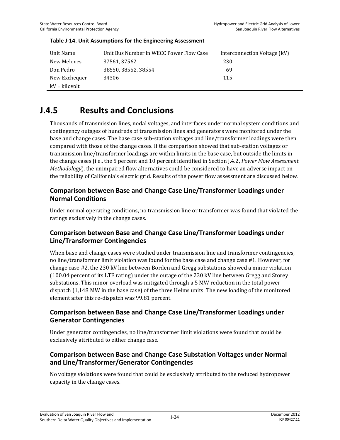| Unit Name       | Unit Bus Number in WECC Power Flow Case | Interconnection Voltage (kV) |
|-----------------|-----------------------------------------|------------------------------|
| New Melones     | 37561, 37562                            | 230                          |
| Don Pedro       | 38550, 38552, 38554                     | 69                           |
| New Exchequer   | 34306                                   | 115                          |
| $kV = kilovolt$ |                                         |                              |

#### **Table J-14. Unit Assumptions for the Engineering Assessment**

## **J.4.5 Results and Conclusions**

Thousands of transmission lines, nodal voltages, and interfaces under normal system conditions and contingency outages of hundreds of transmission lines and generators were monitored under the base and change cases. The base case sub-station voltages and line/transformer loadings were then compared with those of the change cases. If the comparison showed that sub-station voltages or transmission line/transformer loadings are within limits in the base case, but outside the limits in the change cases (i.e., the 5 percent and 10 percent identified in Section J.4.2, *Power Flow Assessment Methodology*), the unimpaired flow alternatives could be considered to have an adverse impact on the reliability of California's electric grid. Results of the power flow assessment are discussed below.

### **Comparison between Base and Change Case Line/Transformer Loadings under Normal Conditions**

Under normal operating conditions, no transmission line or transformer was found that violated the ratings exclusively in the change cases.

### **Comparison between Base and Change Case Line/Transformer Loadings under Line/Transformer Contingencies**

When base and change cases were studied under transmission line and transformer contingencies, no line/transformer limit violation was found for the base case and change case #1. However, for change case #2, the 230 kV line between Borden and Gregg substations showed a minor violation (100.04 percent of its LTE rating) under the outage of the 230 kV line between Gregg and Storey substations. This minor overload was mitigated through a 5 MW reduction in the total power dispatch (1,148 MW in the base case) of the three Helms units. The new loading of the monitored element after this re-dispatch was 99.81 percent.

### **Comparison between Base and Change Case Line/Transformer Loadings under Generator Contingencies**

Under generator contingencies, no line/transformer limit violations were found that could be exclusively attributed to either change case.

### **Comparison between Base and Change Case Substation Voltages under Normal and Line/Transformer/Generator Contingencies**

No voltage violations were found that could be exclusively attributed to the reduced hydropower capacity in the change cases.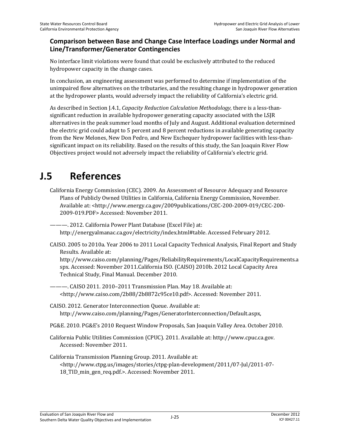### **Comparison between Base and Change Case Interface Loadings under Normal and Line/Transformer/Generator Contingencies**

No interface limit violations were found that could be exclusively attributed to the reduced hydropower capacity in the change cases.

In conclusion, an engineering assessment was performed to determine if implementation of the unimpaired flow alternatives on the tributaries, and the resulting change in hydropower generation at the hydropower plants, would adversely impact the reliability of California's electric grid.

As described in Section J.4.1, *Capacity Reduction Calculation Methodology*, there is a less-thansignificant reduction in available hydropower generating capacity associated with the LSJR alternatives in the peak summer load months of July and August. Additional evaluation determined the electric grid could adapt to 5 percent and 8 percent reductions in available generating capacity from the New Melones, New Don Pedro, and New Exchequer hydropower facilities with less-thansignificant impact on its reliability. Based on the results of this study, the San Joaquin River Flow Objectives project would not adversely impact the reliability of California's electric grid.

# **J.5 References**

California Energy Commission (CEC). 2009. An Assessment of Resource Adequacy and Resource Plans of Publicly Owned Utilities in California, California Energy Commission, November. Available at: <http://www.energy.ca.gov/2009publications/CEC-200-2009-019/CEC-200- 2009-019.PDF> Accessed: November 2011.

———. 2012. California Power Plant Database (Excel File) at: http://energyalmanac.ca.gov/electricity/index.html#table. Accessed February 2012.

CAISO. 2005 to 2010a. Year 2006 to 2011 Local Capacity Technical Analysis, Final Report and Study Results. Available at:

http://www.caiso.com/planning/Pages/ReliabilityRequirements/LocalCapacityRequirements.a spx. Accessed: November 2011.California ISO. (CAISO) 2010b. 2012 Local Capacity Area Technical Study, Final Manual. December 2010.

-. CAISO 2011. 2010–2011 Transmission Plan. May 18. Available at: <http://www.caiso.com/2b88/2b8872c95ce10.pdf>. Accessed: November 2011.

- CAISO. 2012. Generator Interconnection Queue. Available at: http://www.caiso.com/planning/Pages/GeneratorInterconnection/Default.aspx,
- PG&E. 2010. PG&E's 2010 Request Window Proposals, San Joaquin Valley Area. October 2010.
- California Public Utilities Commission (CPUC). 2011. Available at: http://www.cpuc.ca.gov. Accessed: November 2011.
- California Transmission Planning Group. 2011. Available at: <http://www.ctpg.us/images/stories/ctpg-plan-development/2011/07-Jul/2011-07- 18\_TID\_min\_gen\_req.pdf.>. Accessed: November 2011.